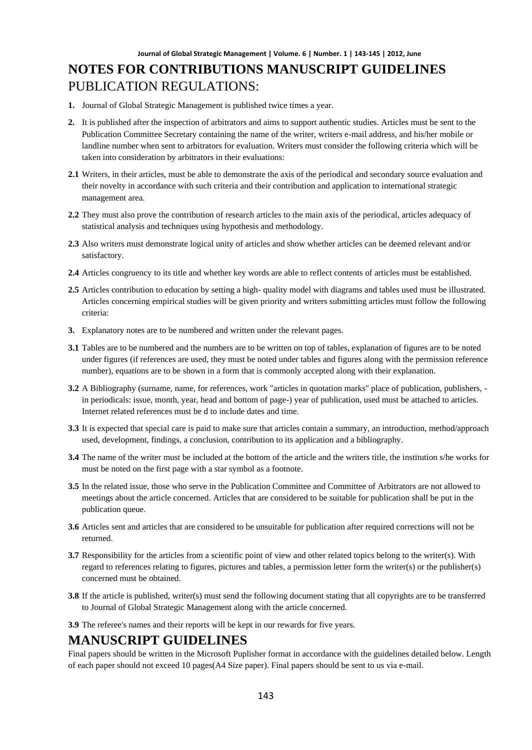# **NOTES FOR CONTRIBUTIONS MANUSCRIPT GUIDELINES** PUBLICATION REGULATIONS:

- **1.** Journal of Global Strategic Management is published twice times a year.
- **2.** It is published after the inspection of arbitrators and aims to support authentic studies. Articles must be sent to the Publication Committee Secretary containing the name of the writer, writers e-mail address, and his/her mobile or landline number when sent to arbitrators for evaluation. Writers must consider the following criteria which will be taken into consideration by arbitrators in their evaluations:
- **2.1** Writers, in their articles, must be able to demonstrate the axis of the periodical and secondary source evaluation and their novelty in accordance with such criteria and their contribution and application to international strategic management area.
- **2.2** They must also prove the contribution of research articles to the main axis of the periodical, articles adequacy of statistical analysis and techniques using hypothesis and methodology.
- **2.3** Also writers must demonstrate logical unity of articles and show whether articles can be deemed relevant and/or satisfactory.
- **2.4** Articles congruency to its title and whether key words are able to reflect contents of articles must be established.
- **2.5** Articles contribution to education by setting a high- quality model with diagrams and tables used must be illustrated. Articles concerning empirical studies will be given priority and writers submitting articles must follow the following criteria:
- **3.** Explanatory notes are to be numbered and written under the relevant pages.
- **3.1** Tables are to be numbered and the numbers are to be written on top of tables, explanation of figures are to be noted under figures (if references are used, they must be noted under tables and figures along with the permission reference number), equations are to be shown in a form that is commonly accepted along with their explanation.
- **3.2** A Bibliography (surname, name, for references, work "articles in quotation marks" place of publication, publishers, in periodicals: issue, month, year, head and bottom of page-) year of publication, used must be attached to articles. Internet related references must be d to include dates and time.
- **3.3** It is expected that special care is paid to make sure that articles contain a summary, an introduction, method/approach used, development, findings, a conclusion, contribution to its application and a bibliography.
- **3.4** The name of the writer must be included at the bottom of the article and the writers title, the institution s/he works for must be noted on the first page with a star symbol as a footnote.
- **3.5** In the related issue, those who serve in the Publication Committee and Committee of Arbitrators are not allowed to meetings about the article concerned. Articles that are considered to be suitable for publication shall be put in the publication queue.
- **3.6** Articles sent and articles that are considered to be unsuitable for publication after required corrections will not be returned.
- **3.7** Responsibility for the articles from a scientific point of view and other related topics belong to the writer(s). With regard to references relating to figures, pictures and tables, a permission letter form the writer(s) or the publisher(s) concerned must be obtained.
- **3.8** If the article is published, writer(s) must send the following document stating that all copyrights are to be transferred to Journal of Global Strategic Management along with the article concerned.
- **3.9** The referee's names and their reports will be kept in our rewards for five years.

### **MANUSCRIPT GUIDELINES**

Final papers should be written in the Microsoft Puplisher format in accordance with the guidelines detailed below. Length of each paper should not exceed 10 pages(A4 Size paper). Final papers should be sent to us via e-mail.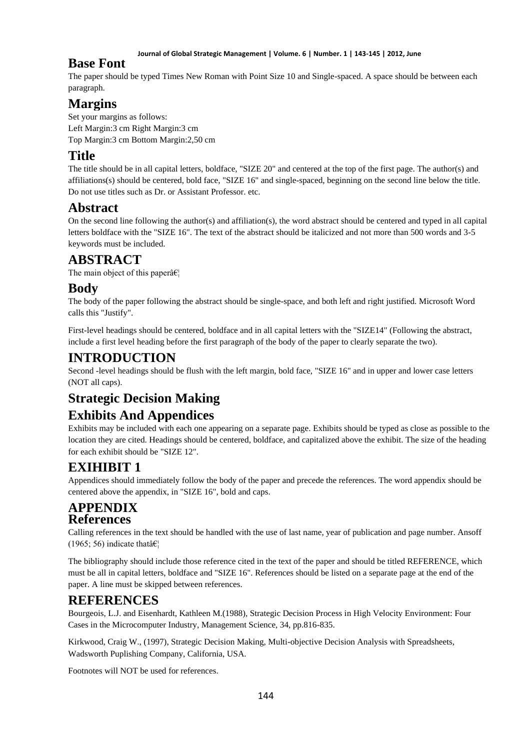#### **Journal of Global Strategic Management | Volume. 6 | Number. 1 | 143-145 | 2012, June**

### **Base Font**

The paper should be typed Times New Roman with Point Size 10 and Single-spaced. A space should be between each paragraph.

# **Margins**

Set your margins as follows: Left Margin:3 cm Right Margin:3 cm Top Margin:3 cm Bottom Margin:2,50 cm

## **Title**

The title should be in all capital letters, boldface, "SIZE 20" and centered at the top of the first page. The author(s) and affiliations(s) should be centered, bold face, "SIZE 16" and single-spaced, beginning on the second line below the title. Do not use titles such as Dr. or Assistant Professor. etc.

### **Abstract**

On the second line following the author(s) and affiliation(s), the word abstract should be centered and typed in all capital letters boldface with the "SIZE 16". The text of the abstract should be italicized and not more than 500 words and 3-5 keywords must be included.

### **ABSTRACT**

The main object of this paper $\hat{a} \in \mathcal{C}_1$ 

### **Body**

The body of the paper following the abstract should be single-space, and both left and right justified. Microsoft Word calls this "Justify".

First-level headings should be centered, boldface and in all capital letters with the "SIZE14" (Following the abstract, include a first level heading before the first paragraph of the body of the paper to clearly separate the two).

### **INTRODUCTION**

Second -level headings should be flush with the left margin, bold face, "SIZE 16" and in upper and lower case letters (NOT all caps).

# **Strategic Decision Making**

# **Exhibits And Appendices**

Exhibits may be included with each one appearing on a separate page. Exhibits should be typed as close as possible to the location they are cited. Headings should be centered, boldface, and capitalized above the exhibit. The size of the heading for each exhibit should be "SIZE 12".

# **EXIHIBIT 1**

Appendices should immediately follow the body of the paper and precede the references. The word appendix should be centered above the appendix, in "SIZE 16", bold and caps.

### **APPENDIX References**

Calling references in the text should be handled with the use of last name, year of publication and page number. Ansoff (1965; 56) indicate that  $\hat{\mathbf{a}} \in \mathbb{R}^n$ 

The bibliography should include those reference cited in the text of the paper and should be titled REFERENCE, which must be all in capital letters, boldface and "SIZE 16". References should be listed on a separate page at the end of the paper. A line must be skipped between references.

# **REFERENCES**

Bourgeois, L.J. and Eisenhardt, Kathleen M.(1988), Strategic Decision Process in High Velocity Environment: Four Cases in the Microcomputer Industry, Management Science, 34, pp.816-835.

Kirkwood, Craig W., (1997), Strategic Decision Making, Multi-objective Decision Analysis with Spreadsheets, Wadsworth Puplishing Company, California, USA.

Footnotes will NOT be used for references.